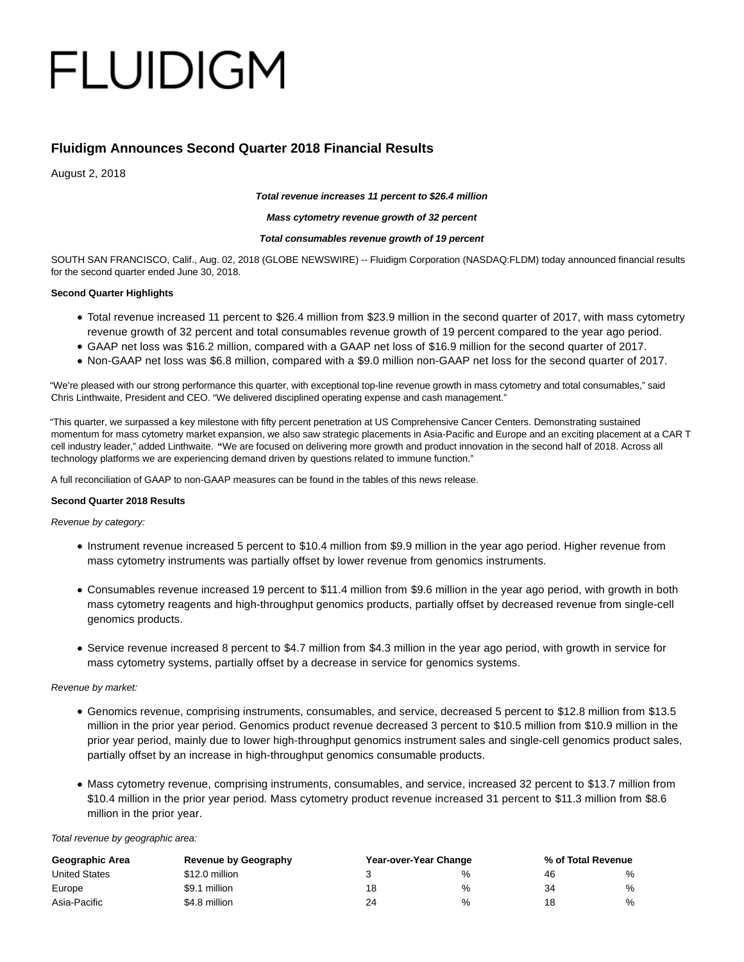# FLUIDIGM

# **Fluidigm Announces Second Quarter 2018 Financial Results**

August 2, 2018

**Total revenue increases 11 percent to \$26.4 million**

**Mass cytometry revenue growth of 32 percent**

### **Total consumables revenue growth of 19 percent**

SOUTH SAN FRANCISCO, Calif., Aug. 02, 2018 (GLOBE NEWSWIRE) -- Fluidigm Corporation (NASDAQ:FLDM) today announced financial results for the second quarter ended June 30, 2018.

### **Second Quarter Highlights**

- Total revenue increased 11 percent to \$26.4 million from \$23.9 million in the second quarter of 2017, with mass cytometry revenue growth of 32 percent and total consumables revenue growth of 19 percent compared to the year ago period.
- GAAP net loss was \$16.2 million, compared with a GAAP net loss of \$16.9 million for the second quarter of 2017.
- Non-GAAP net loss was \$6.8 million, compared with a \$9.0 million non-GAAP net loss for the second quarter of 2017.

"We're pleased with our strong performance this quarter, with exceptional top-line revenue growth in mass cytometry and total consumables," said Chris Linthwaite, President and CEO. "We delivered disciplined operating expense and cash management."

"This quarter, we surpassed a key milestone with fifty percent penetration at US Comprehensive Cancer Centers. Demonstrating sustained momentum for mass cytometry market expansion, we also saw strategic placements in Asia-Pacific and Europe and an exciting placement at a CAR T cell industry leader," added Linthwaite. **"**We are focused on delivering more growth and product innovation in the second half of 2018. Across all technology platforms we are experiencing demand driven by questions related to immune function."

A full reconciliation of GAAP to non-GAAP measures can be found in the tables of this news release.

### **Second Quarter 2018 Results**

Revenue by category:

- Instrument revenue increased 5 percent to \$10.4 million from \$9.9 million in the year ago period. Higher revenue from mass cytometry instruments was partially offset by lower revenue from genomics instruments.
- Consumables revenue increased 19 percent to \$11.4 million from \$9.6 million in the year ago period, with growth in both mass cytometry reagents and high-throughput genomics products, partially offset by decreased revenue from single-cell genomics products.
- Service revenue increased 8 percent to \$4.7 million from \$4.3 million in the year ago period, with growth in service for mass cytometry systems, partially offset by a decrease in service for genomics systems.

### Revenue by market:

- Genomics revenue, comprising instruments, consumables, and service, decreased 5 percent to \$12.8 million from \$13.5 million in the prior year period. Genomics product revenue decreased 3 percent to \$10.5 million from \$10.9 million in the prior year period, mainly due to lower high-throughput genomics instrument sales and single-cell genomics product sales, partially offset by an increase in high-throughput genomics consumable products.
- Mass cytometry revenue, comprising instruments, consumables, and service, increased 32 percent to \$13.7 million from \$10.4 million in the prior year period. Mass cytometry product revenue increased 31 percent to \$11.3 million from \$8.6 million in the prior year.

### Total revenue by geographic area:

| Geographic Area      | Revenue by Geography | Year-over-Year Change | % of Total Revenue |    |   |  |  |
|----------------------|----------------------|-----------------------|--------------------|----|---|--|--|
| <b>United States</b> | \$12.0 million       |                       | %                  | 46 | % |  |  |
| Europe               | \$9.1 million        | 18                    | %                  | 34 | % |  |  |
| Asia-Pacific         | \$4.8 million        | 24                    | %                  | 18 | % |  |  |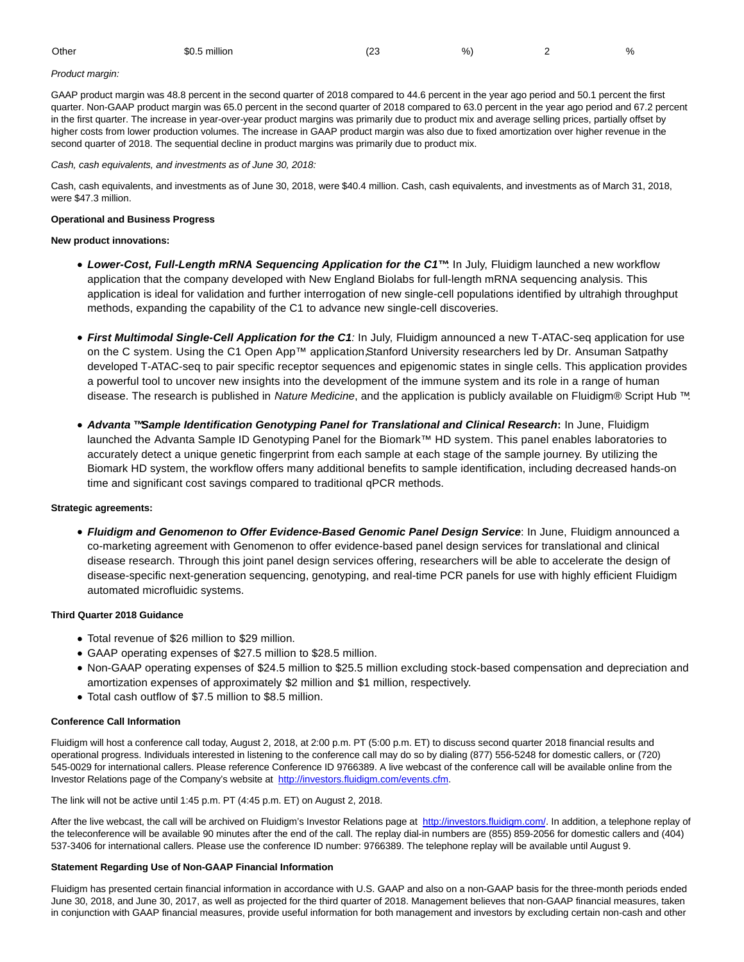| Other | \$0.5 million | $\sqrt{2}$<br>いへい | % | % |
|-------|---------------|-------------------|---|---|
|       |               |                   |   |   |

### Product margin:

GAAP product margin was 48.8 percent in the second quarter of 2018 compared to 44.6 percent in the year ago period and 50.1 percent the first quarter. Non-GAAP product margin was 65.0 percent in the second quarter of 2018 compared to 63.0 percent in the year ago period and 67.2 percent in the first quarter. The increase in year-over-year product margins was primarily due to product mix and average selling prices, partially offset by higher costs from lower production volumes. The increase in GAAP product margin was also due to fixed amortization over higher revenue in the second quarter of 2018. The sequential decline in product margins was primarily due to product mix.

### Cash, cash equivalents, and investments as of June 30, 2018:

Cash, cash equivalents, and investments as of June 30, 2018, were \$40.4 million. Cash, cash equivalents, and investments as of March 31, 2018, were \$47.3 million.

### **Operational and Business Progress**

### **New product innovations:**

- **Lower-Cost, Full-Length mRNA Sequencing Application for the C1™**: In July, Fluidigm launched a new workflow application that the company developed with New England Biolabs for full-length mRNA sequencing analysis. This application is ideal for validation and further interrogation of new single-cell populations identified by ultrahigh throughput methods, expanding the capability of the C1 to advance new single-cell discoveries.
- **First Multimodal Single-Cell Application for the C1**: In July, Fluidigm announced a new T-ATAC-seq application for use on the C system. Using the C1 Open App™ application, Stanford University researchers led by Dr. Ansuman Satpathy developed T-ATAC-seq to pair specific receptor sequences and epigenomic states in single cells. This application provides a powerful tool to uncover new insights into the development of the immune system and its role in a range of human disease. The research is published in Nature Medicine, and the application is publicly available on Fluidigm® Script Hub ™.
- **Advanta ™Sample Identification Genotyping Panel for Translational and Clinical Research:** In June, Fluidigm launched the Advanta Sample ID Genotyping Panel for the Biomark™ HD system. This panel enables laboratories to accurately detect a unique genetic fingerprint from each sample at each stage of the sample journey. By utilizing the Biomark HD system, the workflow offers many additional benefits to sample identification, including decreased hands-on time and significant cost savings compared to traditional qPCR methods.

### **Strategic agreements:**

**Fluidigm and Genomenon to Offer Evidence-Based Genomic Panel Design Service**: In June, Fluidigm announced a co-marketing agreement with Genomenon to offer evidence-based panel design services for translational and clinical disease research. Through this joint panel design services offering, researchers will be able to accelerate the design of disease-specific next-generation sequencing, genotyping, and real-time PCR panels for use with highly efficient Fluidigm automated microfluidic systems.

### **Third Quarter 2018 Guidance**

- Total revenue of \$26 million to \$29 million.
- GAAP operating expenses of \$27.5 million to \$28.5 million.
- Non-GAAP operating expenses of \$24.5 million to \$25.5 million excluding stock-based compensation and depreciation and amortization expenses of approximately \$2 million and \$1 million, respectively.
- Total cash outflow of \$7.5 million to \$8.5 million.

### **Conference Call Information**

Fluidigm will host a conference call today, August 2, 2018, at 2:00 p.m. PT (5:00 p.m. ET) to discuss second quarter 2018 financial results and operational progress. Individuals interested in listening to the conference call may do so by dialing (877) 556-5248 for domestic callers, or (720) 545-0029 for international callers. Please reference Conference ID 9766389. A live webcast of the conference call will be available online from the Investor Relations page of the Company's website at [http://investors.fluidigm.com/events.cfm.](https://www.globenewswire.com/Tracker?data=Q5bdGFyGW1xgVJORgKW44FbOagq6LQNlH2uDr-RJVhGmEtIevNhggNQVhNgCrRoRwAbY2UwLRdlXSG0GY9D74Z8W7pKX0gB7Yf8vSf1hZgQeJu1jEB7neHl2VSORTzp8JWM-HBD8K2aUvCOojgU0Gw==)

The link will not be active until 1:45 p.m. PT (4:45 p.m. ET) on August 2, 2018.

After the live webcast, the call will be archived on Fluidigm's Investor Relations page at [http://investors.fluidigm.com/.](https://www.globenewswire.com/Tracker?data=Q5bdGFyGW1xgVJORgKW44FbOagq6LQNlH2uDr-RJVhFqaDU466X_ddEiz4YRKdhC_Re0L_V26wapXo4zl8INfPTG-Z3OzvjQnw0UcH8ejYqd_8Rl0-cZrTcDwJN7olPl) In addition, a telephone replay of the teleconference will be available 90 minutes after the end of the call. The replay dial-in numbers are (855) 859-2056 for domestic callers and (404) 537-3406 for international callers. Please use the conference ID number: 9766389. The telephone replay will be available until August 9.

### **Statement Regarding Use of Non-GAAP Financial Information**

Fluidigm has presented certain financial information in accordance with U.S. GAAP and also on a non-GAAP basis for the three-month periods ended June 30, 2018, and June 30, 2017, as well as projected for the third quarter of 2018. Management believes that non-GAAP financial measures, taken in conjunction with GAAP financial measures, provide useful information for both management and investors by excluding certain non-cash and other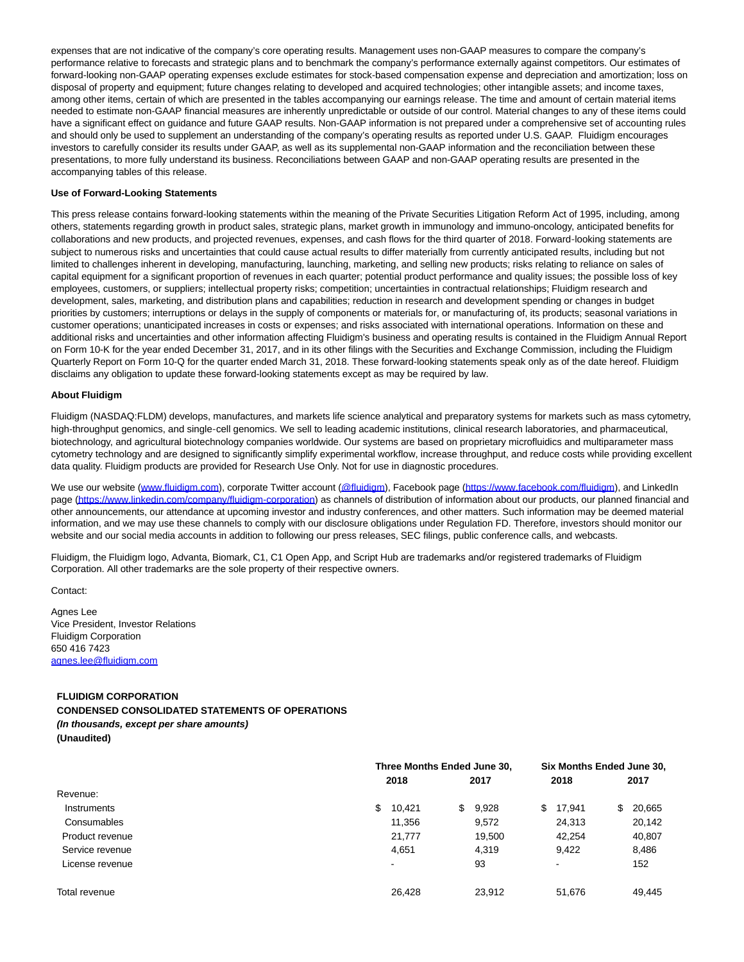expenses that are not indicative of the company's core operating results. Management uses non-GAAP measures to compare the company's performance relative to forecasts and strategic plans and to benchmark the company's performance externally against competitors. Our estimates of forward-looking non-GAAP operating expenses exclude estimates for stock-based compensation expense and depreciation and amortization; loss on disposal of property and equipment; future changes relating to developed and acquired technologies; other intangible assets; and income taxes, among other items, certain of which are presented in the tables accompanying our earnings release. The time and amount of certain material items needed to estimate non-GAAP financial measures are inherently unpredictable or outside of our control. Material changes to any of these items could have a significant effect on guidance and future GAAP results. Non-GAAP information is not prepared under a comprehensive set of accounting rules and should only be used to supplement an understanding of the company's operating results as reported under U.S. GAAP. Fluidigm encourages investors to carefully consider its results under GAAP, as well as its supplemental non-GAAP information and the reconciliation between these presentations, to more fully understand its business. Reconciliations between GAAP and non-GAAP operating results are presented in the accompanying tables of this release.

### **Use of Forward-Looking Statements**

This press release contains forward-looking statements within the meaning of the Private Securities Litigation Reform Act of 1995, including, among others, statements regarding growth in product sales, strategic plans, market growth in immunology and immuno-oncology, anticipated benefits for collaborations and new products, and projected revenues, expenses, and cash flows for the third quarter of 2018. Forward‑looking statements are subject to numerous risks and uncertainties that could cause actual results to differ materially from currently anticipated results, including but not limited to challenges inherent in developing, manufacturing, launching, marketing, and selling new products; risks relating to reliance on sales of capital equipment for a significant proportion of revenues in each quarter; potential product performance and quality issues; the possible loss of key employees, customers, or suppliers; intellectual property risks; competition; uncertainties in contractual relationships; Fluidigm research and development, sales, marketing, and distribution plans and capabilities; reduction in research and development spending or changes in budget priorities by customers; interruptions or delays in the supply of components or materials for, or manufacturing of, its products; seasonal variations in customer operations; unanticipated increases in costs or expenses; and risks associated with international operations. Information on these and additional risks and uncertainties and other information affecting Fluidigm's business and operating results is contained in the Fluidigm Annual Report on Form 10-K for the year ended December 31, 2017, and in its other filings with the Securities and Exchange Commission, including the Fluidigm Quarterly Report on Form 10-Q for the quarter ended March 31, 2018. These forward-looking statements speak only as of the date hereof. Fluidigm disclaims any obligation to update these forward-looking statements except as may be required by law.

### **About Fluidigm**

Fluidigm (NASDAQ:FLDM) develops, manufactures, and markets life science analytical and preparatory systems for markets such as mass cytometry, high-throughput genomics, and single-cell genomics. We sell to leading academic institutions, clinical research laboratories, and pharmaceutical, biotechnology, and agricultural biotechnology companies worldwide. Our systems are based on proprietary microfluidics and multiparameter mass cytometry technology and are designed to significantly simplify experimental workflow, increase throughput, and reduce costs while providing excellent data quality. Fluidigm products are provided for Research Use Only. Not for use in diagnostic procedures.

We use our website [\(www.fluidigm.com\),](https://www.globenewswire.com/Tracker?data=KXyng4Q00Iy-FLYT-j-LwlUn6gYFOwXjciFIuOyPwrW7JzdMO0Xx8pGRFymXdmUFz7jxaV9zR4jmgc6N7fBSiw==) corporate Twitter account [\(@fluidigm\),](https://www.globenewswire.com/Tracker?data=YWBD_VbBTjNVoPBFdKNQQRoBZFW_vJUWRIaRWCjoMQn6nugj_Y7-o1NLN_uFtmt60hV_gwVGeRhUyBO3BnPg0g==) Facebook page [\(https://www.facebook.com/fluidigm\),](https://www.globenewswire.com/Tracker?data=WRy4qdsWeL8GZZUqcFemI5RO6XnkOWv89KYHuGLMRnIMY1QAB9tVFQi9qBrKo5rAkfSiwv3oSaDn0bjme8zMyUHnyhMumTdROXVdrl_bshAy2mkZUB4ESxf9zic4-hid) and LinkedIn page [\(https://www.linkedin.com/company/fluidigm-corporation\)](https://www.globenewswire.com/Tracker?data=WRy4qdsWeL8GZZUqcFemI0K0eWaLFkdxFSRDGF8ySkl6Sbry6q_n2LlAlEjWXphx9xsC8aOxYbqZBURxDC2ON8mYGAXLQMbbLtykL0VPQVSgccnhjktUbNFhVC6VDzEiMtk8m4DKhRjv3ZfvrofY6ZmiY3_Tjr-fbAkbtn-VBa-1HAUod1OSn0x0TBSulS10) as channels of distribution of information about our products, our planned financial and other announcements, our attendance at upcoming investor and industry conferences, and other matters. Such information may be deemed material information, and we may use these channels to comply with our disclosure obligations under Regulation FD. Therefore, investors should monitor our website and our social media accounts in addition to following our press releases, SEC filings, public conference calls, and webcasts.

Fluidigm, the Fluidigm logo, Advanta, Biomark, C1, C1 Open App, and Script Hub are trademarks and/or registered trademarks of Fluidigm Corporation. All other trademarks are the sole property of their respective owners.

Contact:

Agnes Lee Vice President, Investor Relations Fluidigm Corporation 650 416 7423 [agnes.lee@fluidigm.com](https://www.globenewswire.com/Tracker?data=57mmwaZykGOFqBP5XuXuIcXEF8DXgRIiLGKhUmCxKdO7_t2IszmIRr-sX9jM8TMlrg04VrEvLHBTwESB_GTbRiOHvY1uWZGKJtjKIFiZzV4=)

### **FLUIDIGM CORPORATION**

**CONDENSED CONSOLIDATED STATEMENTS OF OPERATIONS**

**(In thousands, except per share amounts) (Unaudited)**

|                 |      | Three Months Ended June 30, |     |        |    | Six Months Ended June 30, |     |        |  |  |
|-----------------|------|-----------------------------|-----|--------|----|---------------------------|-----|--------|--|--|
|                 | 2018 |                             |     | 2017   |    | 2018                      |     | 2017   |  |  |
| Revenue:        |      |                             |     |        |    |                           |     |        |  |  |
| Instruments     | \$   | 10,421                      | \$. | 9,928  | \$ | 17.941                    | \$. | 20,665 |  |  |
| Consumables     |      | 11,356                      |     | 9,572  |    | 24,313                    |     | 20,142 |  |  |
| Product revenue |      | 21,777                      |     | 19,500 |    | 42,254                    |     | 40,807 |  |  |
| Service revenue |      | 4.651                       |     | 4.319  |    | 9.422                     |     | 8,486  |  |  |
| License revenue | -    |                             |     | 93     |    | ۰                         |     | 152    |  |  |
| Total revenue   |      | 26.428                      |     | 23,912 |    | 51,676                    |     | 49.445 |  |  |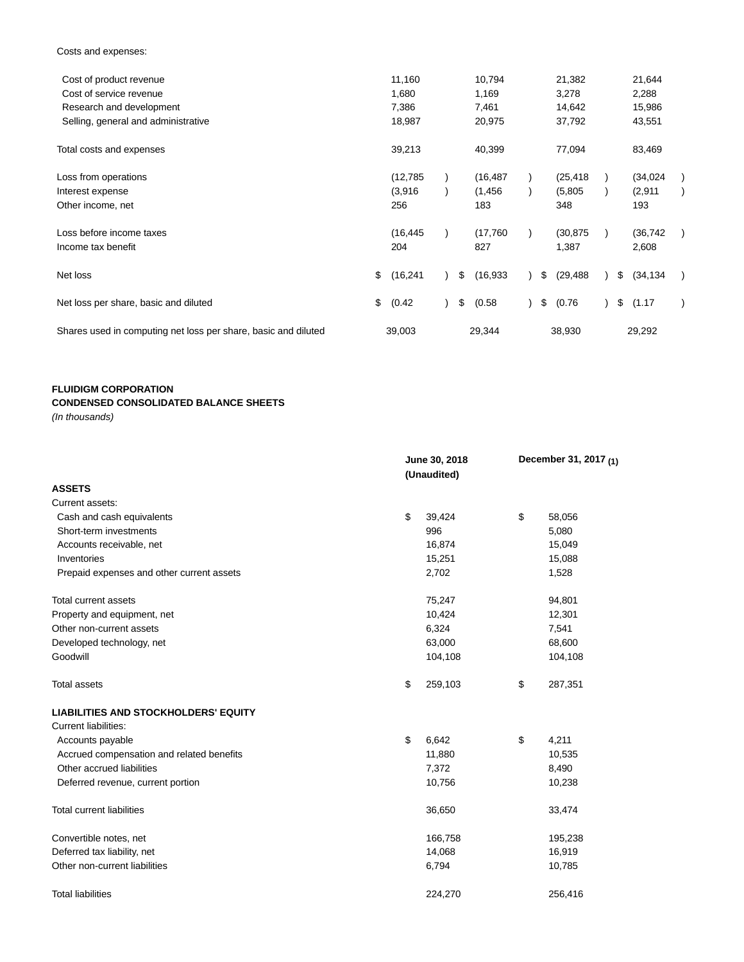Costs and expenses:

| Cost of product revenue                                        | 11,160          |    | 10,794    |    | 21,382    |    | 21,644    |  |
|----------------------------------------------------------------|-----------------|----|-----------|----|-----------|----|-----------|--|
| Cost of service revenue                                        | 1,680           |    | 1,169     |    | 3,278     |    | 2,288     |  |
| Research and development                                       | 7,386           |    | 7,461     |    | 14,642    |    | 15,986    |  |
| Selling, general and administrative                            | 18,987          |    | 20,975    |    | 37,792    |    | 43,551    |  |
| Total costs and expenses                                       | 39,213          |    | 40,399    |    | 77,094    |    | 83,469    |  |
| Loss from operations                                           | (12,785)        |    | (16, 487) |    | (25, 418) |    | (34, 024) |  |
| Interest expense                                               | (3,916)         |    | (1, 456)  |    | (5,805)   |    | (2,911)   |  |
| Other income, net                                              | 256             |    | 183       |    | 348       |    | 193       |  |
| Loss before income taxes                                       | (16, 445)       |    | (17,760)  |    | (30, 875) |    | (36, 742) |  |
| Income tax benefit                                             | 204             |    | 827       |    | 1,387     |    | 2,608     |  |
| Net loss                                                       | \$<br>(16, 241) | \$ | (16.933)  | \$ | (29, 488) | \$ | (34, 134) |  |
| Net loss per share, basic and diluted                          | \$<br>(0.42)    | \$ | (0.58)    | \$ | (0.76)    | \$ | (1.17)    |  |
| Shares used in computing net loss per share, basic and diluted | 39,003          |    | 29,344    |    | 38,930    |    | 29,292    |  |

**FLUIDIGM CORPORATION**

# **CONDENSED CONSOLIDATED BALANCE SHEETS**

(In thousands)

|                                             | June 30, 2018<br>(Unaudited) |    | December 31, 2017 (1) |
|---------------------------------------------|------------------------------|----|-----------------------|
| <b>ASSETS</b>                               |                              |    |                       |
| Current assets:                             |                              |    |                       |
| Cash and cash equivalents                   | \$<br>39,424                 | \$ | 58,056                |
| Short-term investments                      | 996                          |    | 5,080                 |
| Accounts receivable, net                    | 16,874                       |    | 15,049                |
| Inventories                                 | 15,251                       |    | 15,088                |
| Prepaid expenses and other current assets   | 2,702                        |    | 1,528                 |
| <b>Total current assets</b>                 | 75,247                       |    | 94,801                |
| Property and equipment, net                 | 10,424                       |    | 12,301                |
| Other non-current assets                    | 6,324                        |    | 7,541                 |
| Developed technology, net                   | 63,000                       |    | 68,600                |
| Goodwill                                    | 104,108                      |    | 104,108               |
| <b>Total assets</b>                         | \$<br>259,103                | \$ | 287,351               |
| <b>LIABILITIES AND STOCKHOLDERS' EQUITY</b> |                              |    |                       |
| <b>Current liabilities:</b>                 |                              |    |                       |
| Accounts payable                            | \$<br>6,642                  | \$ | 4,211                 |
| Accrued compensation and related benefits   | 11,880                       |    | 10,535                |
| Other accrued liabilities                   | 7,372                        |    | 8,490                 |
| Deferred revenue, current portion           | 10,756                       |    | 10,238                |
| <b>Total current liabilities</b>            | 36,650                       |    | 33,474                |
| Convertible notes, net                      | 166,758                      |    | 195,238               |
| Deferred tax liability, net                 | 14,068                       |    | 16,919                |
| Other non-current liabilities               | 6,794                        |    | 10,785                |
| <b>Total liabilities</b>                    | 224,270                      |    | 256,416               |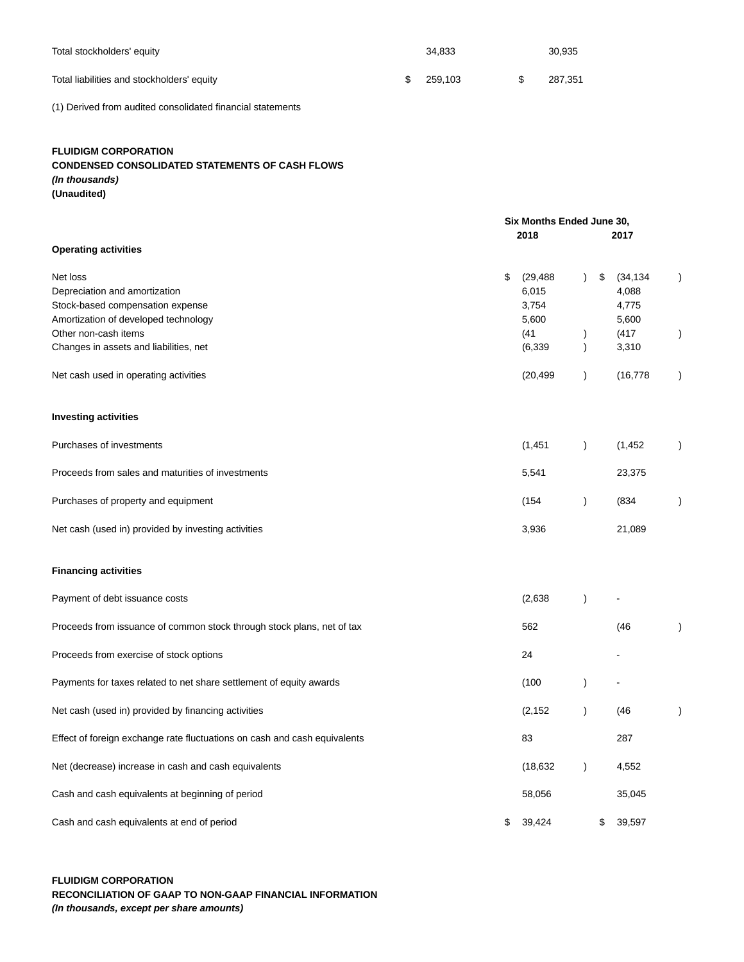| Total stockholders' equity                 |     | 34.833  | 30,935  |
|--------------------------------------------|-----|---------|---------|
| Total liabilities and stockholders' equity | \$. | 259.103 | 287.351 |

(1) Derived from audited consolidated financial statements

### **FLUIDIGM CORPORATION**

# **CONDENSED CONSOLIDATED STATEMENTS OF CASH FLOWS (In thousands) (Unaudited)**

|                                                                           | Six Months Ended June 30, |                        |           |               |  |  |  |  |  |  |
|---------------------------------------------------------------------------|---------------------------|------------------------|-----------|---------------|--|--|--|--|--|--|
|                                                                           | 2018                      |                        | 2017      |               |  |  |  |  |  |  |
| <b>Operating activities</b>                                               |                           |                        |           |               |  |  |  |  |  |  |
| Net loss                                                                  | \$<br>(29, 488)           | \$<br>$\lambda$        | (34,134   | $\mathcal{E}$ |  |  |  |  |  |  |
| Depreciation and amortization                                             | 6,015                     |                        | 4,088     |               |  |  |  |  |  |  |
| Stock-based compensation expense                                          | 3,754                     |                        | 4,775     |               |  |  |  |  |  |  |
| Amortization of developed technology                                      | 5,600                     |                        | 5,600     |               |  |  |  |  |  |  |
| Other non-cash items                                                      | (41)                      | $\lambda$              | (417)     | $\mathcal{E}$ |  |  |  |  |  |  |
| Changes in assets and liabilities, net                                    | (6, 339)                  | $\lambda$              | 3,310     |               |  |  |  |  |  |  |
| Net cash used in operating activities                                     | (20, 499)                 | $\lambda$              | (16, 778) | $\lambda$     |  |  |  |  |  |  |
| <b>Investing activities</b>                                               |                           |                        |           |               |  |  |  |  |  |  |
| Purchases of investments                                                  | (1, 451)                  | $\lambda$              | (1, 452)  |               |  |  |  |  |  |  |
| Proceeds from sales and maturities of investments                         | 5,541                     |                        | 23,375    |               |  |  |  |  |  |  |
| Purchases of property and equipment                                       | (154)                     | $\lambda$              | (834)     |               |  |  |  |  |  |  |
| Net cash (used in) provided by investing activities                       | 3,936                     |                        | 21,089    |               |  |  |  |  |  |  |
| <b>Financing activities</b>                                               |                           |                        |           |               |  |  |  |  |  |  |
| Payment of debt issuance costs                                            | (2,638)                   | $\mathcal{E}$          |           |               |  |  |  |  |  |  |
| Proceeds from issuance of common stock through stock plans, net of tax    | 562                       |                        | (46)      |               |  |  |  |  |  |  |
| Proceeds from exercise of stock options                                   | 24                        |                        |           |               |  |  |  |  |  |  |
| Payments for taxes related to net share settlement of equity awards       | (100)                     | $\mathcal{C}^{\prime}$ |           |               |  |  |  |  |  |  |
| Net cash (used in) provided by financing activities                       | (2, 152)                  | $\lambda$              | (46)      |               |  |  |  |  |  |  |
| Effect of foreign exchange rate fluctuations on cash and cash equivalents | 83                        |                        | 287       |               |  |  |  |  |  |  |
| Net (decrease) increase in cash and cash equivalents                      | (18, 632)                 | $\lambda$              | 4,552     |               |  |  |  |  |  |  |
| Cash and cash equivalents at beginning of period                          | 58,056                    |                        | 35,045    |               |  |  |  |  |  |  |
| Cash and cash equivalents at end of period                                | \$<br>39,424              | \$                     | 39,597    |               |  |  |  |  |  |  |

# **FLUIDIGM CORPORATION RECONCILIATION OF GAAP TO NON-GAAP FINANCIAL INFORMATION (In thousands, except per share amounts)**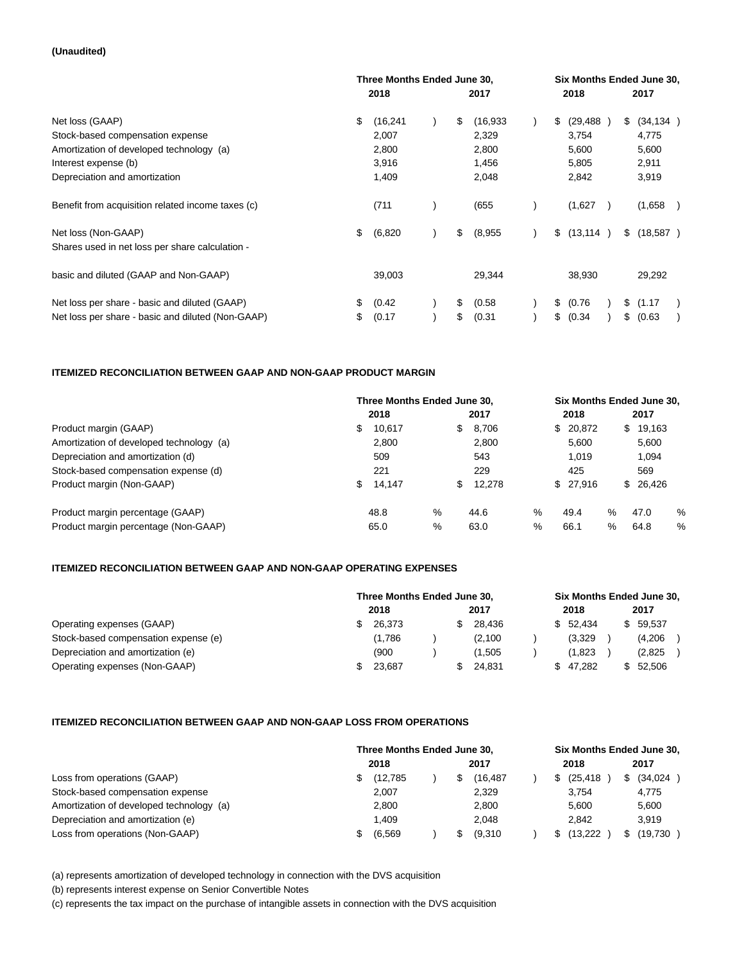### **(Unaudited)**

|                                                   |    | Three Months Ended June 30, |    |           | Six Months Ended June 30, |           |  |    |             |  |
|---------------------------------------------------|----|-----------------------------|----|-----------|---------------------------|-----------|--|----|-------------|--|
|                                                   |    | 2018                        |    | 2017      |                           | 2018      |  |    | 2017        |  |
| Net loss (GAAP)                                   | \$ | (16, 241)                   | \$ | (16, 933) | \$                        | (29,488)  |  | \$ | (34, 134)   |  |
| Stock-based compensation expense                  |    | 2,007                       |    | 2,329     |                           | 3,754     |  |    | 4,775       |  |
| Amortization of developed technology (a)          |    | 2,800                       |    | 2,800     |                           | 5,600     |  |    | 5,600       |  |
| Interest expense (b)                              |    | 3,916                       |    | 1,456     |                           | 5,805     |  |    | 2,911       |  |
| Depreciation and amortization                     |    | 1,409                       |    | 2,048     |                           | 2,842     |  |    | 3,919       |  |
| Benefit from acquisition related income taxes (c) |    | (711)                       |    | (655)     |                           | (1,627)   |  |    | (1,658)     |  |
| Net loss (Non-GAAP)                               | \$ | (6,820)                     | \$ | (8,955)   | \$                        | (13, 114) |  |    | \$ (18,587) |  |
| Shares used in net loss per share calculation -   |    |                             |    |           |                           |           |  |    |             |  |
| basic and diluted (GAAP and Non-GAAP)             |    | 39,003                      |    | 29,344    |                           | 38,930    |  |    | 29,292      |  |
| Net loss per share - basic and diluted (GAAP)     | S  | (0.42)                      | \$ | (0.58)    | \$                        | (0.76)    |  | \$ | (1.17)      |  |
| Net loss per share - basic and diluted (Non-GAAP) | S  | (0.17)                      | \$ | (0.31)    | \$                        | (0.34)    |  | \$ | (0.63)      |  |

### **ITEMIZED RECONCILIATION BETWEEN GAAP AND NON-GAAP PRODUCT MARGIN**

|                                          | Three Months Ended June 30, |    |        |   |          | Six Months Ended June 30. |          |      |  |  |  |
|------------------------------------------|-----------------------------|----|--------|---|----------|---------------------------|----------|------|--|--|--|
|                                          | 2018                        |    | 2017   |   | 2018     |                           | 2017     |      |  |  |  |
| Product margin (GAAP)<br>\$.             | 10.617                      | \$ | 8.706  |   | \$20,872 |                           | \$19,163 |      |  |  |  |
| Amortization of developed technology (a) | 2.800                       |    | 2.800  |   | 5.600    |                           | 5,600    |      |  |  |  |
| Depreciation and amortization (d)        | 509                         |    | 543    |   | 1.019    |                           | 1.094    |      |  |  |  |
| Stock-based compensation expense (d)     | 221                         |    | 229    |   | 425      |                           | 569      |      |  |  |  |
| Product margin (Non-GAAP)<br>\$.         | 14.147                      | \$ | 12.278 |   | \$27.916 |                           | \$26,426 |      |  |  |  |
| Product margin percentage (GAAP)         | %<br>48.8                   |    | 44.6   | % | 49.4     | %                         | 47.0     | $\%$ |  |  |  |
| Product margin percentage (Non-GAAP)     | %<br>65.0                   |    | 63.0   | % | 66.1     | %                         | 64.8     | $\%$ |  |  |  |

## **ITEMIZED RECONCILIATION BETWEEN GAAP AND NON-GAAP OPERATING EXPENSES**

|                                      | Three Months Ended June 30, |  |         |  |          |  |  | Six Months Ended June 30, |  |  |  |
|--------------------------------------|-----------------------------|--|---------|--|----------|--|--|---------------------------|--|--|--|
|                                      | 2018                        |  | 2017    |  | 2018     |  |  | 2017                      |  |  |  |
| Operating expenses (GAAP)            | 26.373                      |  | 28.436  |  | \$52.434 |  |  | \$59.537                  |  |  |  |
| Stock-based compensation expense (e) | (1.786                      |  | (2.100) |  | (3.329)  |  |  | (4,206)                   |  |  |  |
| Depreciation and amortization (e)    | (900)                       |  | (1.505  |  | (1.823)  |  |  | (2,825)                   |  |  |  |
| Operating expenses (Non-GAAP)        | 23.687                      |  | 24.831  |  | \$47.282 |  |  | \$ 52,506                 |  |  |  |

### **ITEMIZED RECONCILIATION BETWEEN GAAP AND NON-GAAP LOSS FROM OPERATIONS**

|                                          | Three Months Ended June 30, |  |         |  |                | Six Months Ended June 30, |                |  |
|------------------------------------------|-----------------------------|--|---------|--|----------------|---------------------------|----------------|--|
|                                          | 2018                        |  | 2017    |  | 2018           |                           | 2017           |  |
| Loss from operations (GAAP)              | (12,785                     |  | (16.487 |  | $$^{(25,418)}$ |                           | $$^{(34,024)}$ |  |
| Stock-based compensation expense         | 2.007                       |  | 2.329   |  | 3.754          |                           | 4.775          |  |
| Amortization of developed technology (a) | 2.800                       |  | 2.800   |  | 5.600          |                           | 5,600          |  |
| Depreciation and amortization (e)        | 1.409                       |  | 2.048   |  | 2.842          |                           | 3.919          |  |
| Loss from operations (Non-GAAP)          | (6, 569)                    |  | (9,310) |  | (13,222)       |                           | (19,730)       |  |

(a) represents amortization of developed technology in connection with the DVS acquisition

(b) represents interest expense on Senior Convertible Notes

(c) represents the tax impact on the purchase of intangible assets in connection with the DVS acquisition